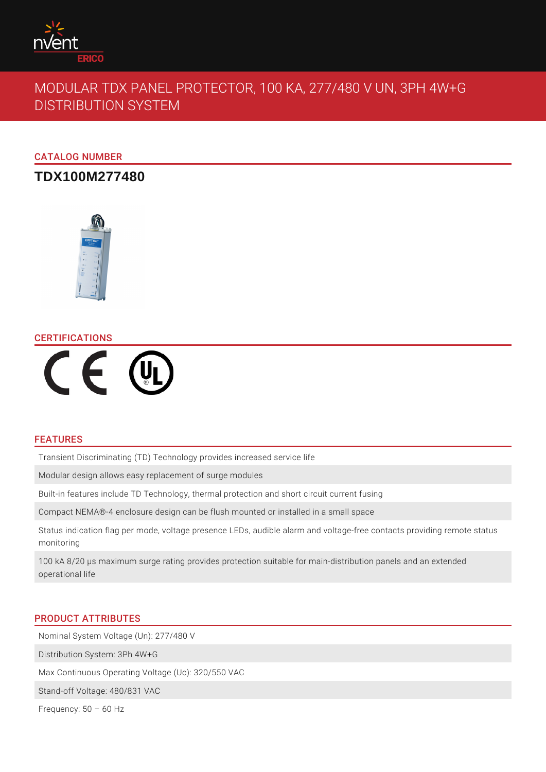

# MODULAR TDX PANEL PROTECTOR, 100 KA, 277/480 V UN, 3PH 4W+G DISTRIBUTION SYSTEM

CATALOG NUMBER

## **TDX100M277480**



#### CERTIFICATIONS



## FEATURES

Transient Discriminating (TD) Technology provides increased service life

Modular design allows easy replacement of surge modules

Built-in features include TD Technology, thermal protection and short circuit current fusing

Compact NEMA®-4 enclosure design can be flush mounted or installed in a small space

Status indication flag per mode, voltage presence LEDs, audible alarm and voltage-free contacts providing remote status monitoring

100 kA 8/20 μs maximum surge rating provides protection suitable for main-distribution panels and an extended operational life

#### PRODUCT ATTRIBUTES

Nominal System Voltage (Un): 277/480 V

Distribution System: 3Ph 4W+G

Max Continuous Operating Voltage (Uc): 320/550 VAC

Stand-off Voltage: 480/831 VAC

Frequency:  $50 - 60$  Hz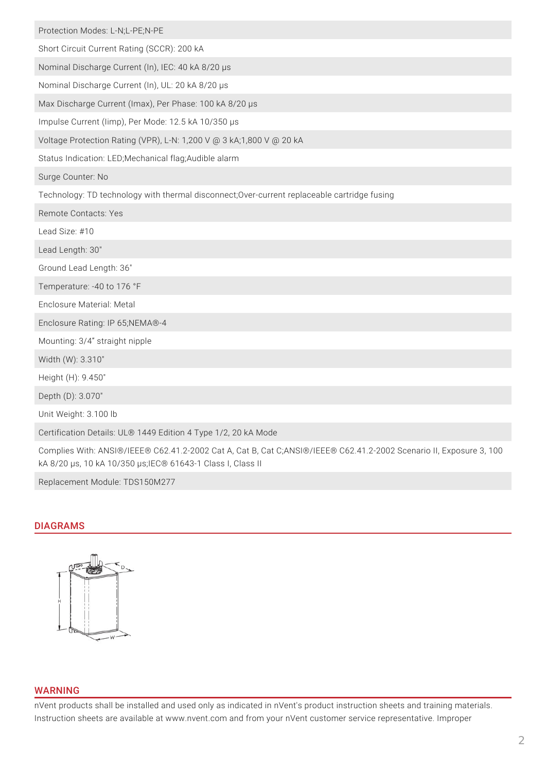| Protection Modes: L-N;L-PE;N-PE                                                                                                                                                    |
|------------------------------------------------------------------------------------------------------------------------------------------------------------------------------------|
| Short Circuit Current Rating (SCCR): 200 kA                                                                                                                                        |
| Nominal Discharge Current (In), IEC: 40 kA 8/20 µs                                                                                                                                 |
| Nominal Discharge Current (In), UL: 20 kA 8/20 µs                                                                                                                                  |
| Max Discharge Current (Imax), Per Phase: 100 kA 8/20 µs                                                                                                                            |
| Impulse Current (limp), Per Mode: 12.5 kA 10/350 µs                                                                                                                                |
| Voltage Protection Rating (VPR), L-N: 1,200 V @ 3 kA;1,800 V @ 20 kA                                                                                                               |
| Status Indication: LED;Mechanical flag;Audible alarm                                                                                                                               |
| Surge Counter: No                                                                                                                                                                  |
| Technology: TD technology with thermal disconnect; Over-current replaceable cartridge fusing                                                                                       |
| Remote Contacts: Yes                                                                                                                                                               |
| Lead Size: #10                                                                                                                                                                     |
| Lead Length: 30"                                                                                                                                                                   |
| Ground Lead Length: 36"                                                                                                                                                            |
| Temperature: -40 to 176 °F                                                                                                                                                         |
| Enclosure Material: Metal                                                                                                                                                          |
| Enclosure Rating: IP 65;NEMA®-4                                                                                                                                                    |
| Mounting: 3/4" straight nipple                                                                                                                                                     |
| Width (W): 3.310"                                                                                                                                                                  |
| Height (H): 9.450"                                                                                                                                                                 |
| Depth (D): 3.070"                                                                                                                                                                  |
| Unit Weight: 3.100 lb                                                                                                                                                              |
| Certification Details: UL® 1449 Edition 4 Type 1/2, 20 kA Mode                                                                                                                     |
| Complies With: ANSI®/IEEE® C62.41.2-2002 Cat A, Cat B, Cat C;ANSI®/IEEE® C62.41.2-2002 Scenario II, Exposure 3, 100<br>kA 8/20 µs, 10 kA 10/350 µs; IEC® 61643-1 Class I, Class II |

Replacement Module: TDS150M277

#### DIAGRAMS



## WARNING

nVent products shall be installed and used only as indicated in nVent's product instruction sheets and training materials. Instruction sheets are available at www.nvent.com and from your nVent customer service representative. Improper